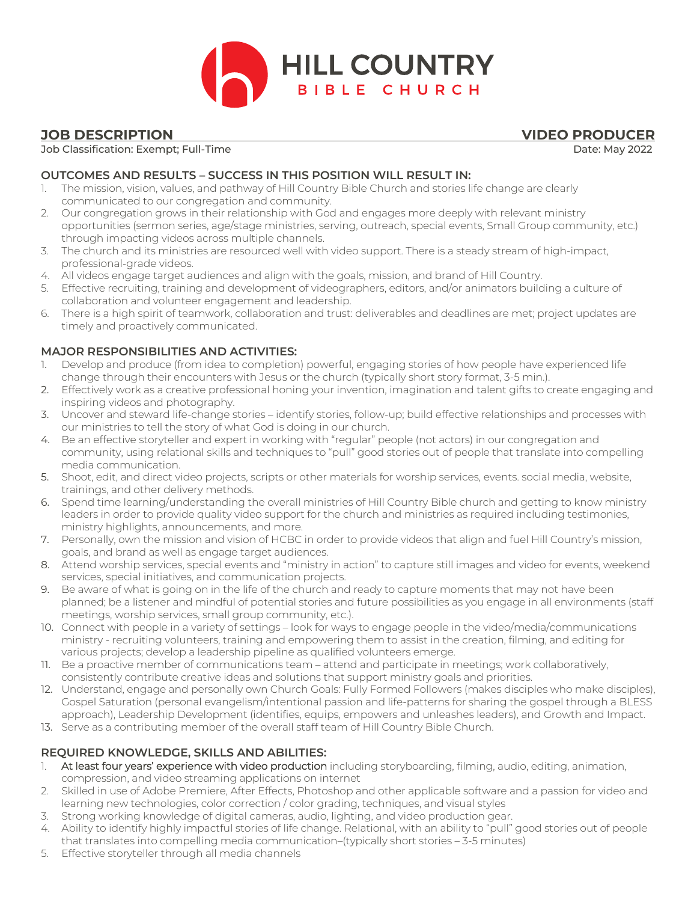

# **JOB DESCRIPTION VIDEO PRODUCER**

#### Job Classification: Exempt; Full-Time Date: May 2022

## **OUTCOMES AND RESULTS – SUCCESS IN THIS POSITION WILL RESULT IN:**

- 1. The mission, vision, values, and pathway of Hill Country Bible Church and stories life change are clearly communicated to our congregation and community.
- 2. Our congregation grows in their relationship with God and engages more deeply with relevant ministry opportunities (sermon series, age/stage ministries, serving, outreach, special events, Small Group community, etc.) through impacting videos across multiple channels.
- 3. The church and its ministries are resourced well with video support. There is a steady stream of high-impact, professional-grade videos.
- 4. All videos engage target audiences and align with the goals, mission, and brand of Hill Country.
- 5. Effective recruiting, training and development of videographers, editors, and/or animators building a culture of collaboration and volunteer engagement and leadership.
- 6. There is a high spirit of teamwork, collaboration and trust: deliverables and deadlines are met; project updates are timely and proactively communicated.

## **MAJOR RESPONSIBILITIES AND ACTIVITIES:**

- 1. Develop and produce (from idea to completion) powerful, engaging stories of how people have experienced life change through their encounters with Jesus or the church (typically short story format, 3-5 min.).
- 2. Effectively work as a creative professional honing your invention, imagination and talent gifts to create engaging and inspiring videos and photography.
- 3. Uncover and steward life-change stories identify stories, follow-up; build effective relationships and processes with our ministries to tell the story of what God is doing in our church.
- 4. Be an effective storyteller and expert in working with "regular" people (not actors) in our congregation and community, using relational skills and techniques to "pull" good stories out of people that translate into compelling media communication.
- 5. Shoot, edit, and direct video projects, scripts or other materials for worship services, events. social media, website, trainings, and other delivery methods.
- 6. Spend time learning/understanding the overall ministries of Hill Country Bible church and getting to know ministry leaders in order to provide quality video support for the church and ministries as required including testimonies, ministry highlights, announcements, and more.
- 7. Personally, own the mission and vision of HCBC in order to provide videos that align and fuel Hill Country's mission, goals, and brand as well as engage target audiences.
- 8. Attend worship services, special events and "ministry in action" to capture still images and video for events, weekend services, special initiatives, and communication projects.
- 9. Be aware of what is going on in the life of the church and ready to capture moments that may not have been planned; be a listener and mindful of potential stories and future possibilities as you engage in all environments (staff meetings, worship services, small group community, etc.).
- 10. Connect with people in a variety of settings look for ways to engage people in the video/media/communications ministry - recruiting volunteers, training and empowering them to assist in the creation, filming, and editing for various projects; develop a leadership pipeline as qualified volunteers emerge.
- 11. Be a proactive member of communications team attend and participate in meetings; work collaboratively, consistently contribute creative ideas and solutions that support ministry goals and priorities.
- 12. Understand, engage and personally own Church Goals: Fully Formed Followers (makes disciples who make disciples), Gospel Saturation (personal evangelism/intentional passion and life-patterns for sharing the gospel through a BLESS approach), Leadership Development (identifies, equips, empowers and unleashes leaders), and Growth and Impact.
- 13. Serve as a contributing member of the overall staff team of Hill Country Bible Church.

#### **REQUIRED KNOWLEDGE, SKILLS AND ABILITIES:**

- 1. At least four years' experience with video production including storyboarding, filming, audio, editing, animation, compression, and video streaming applications on internet
- 2. Skilled in use of Adobe Premiere, After Effects, Photoshop and other applicable software and a passion for video and learning new technologies, color correction / color grading, techniques, and visual styles
- 3. Strong working knowledge of digital cameras, audio, lighting, and video production gear.
- 4. Ability to identify highly impactful stories of life change. Relational, with an ability to "pull" good stories out of people that translates into compelling media communication–(typically short stories – 3-5 minutes)
- 5. Effective storyteller through all media channels